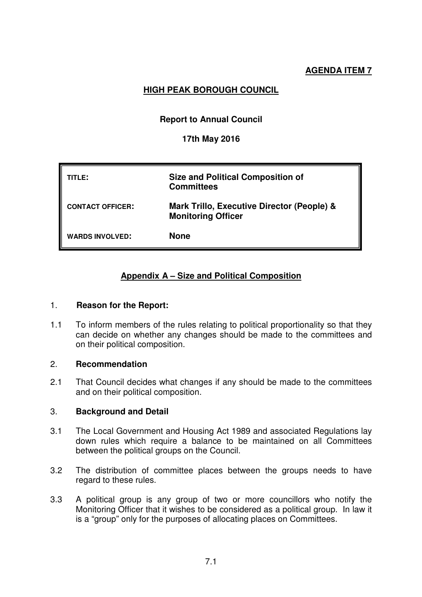# **HIGH PEAK BOROUGH COUNCIL**

# **Report to Annual Council**

## **17th May 2016**

| TITLE:                  | <b>Size and Political Composition of</b><br><b>Committees</b>           |
|-------------------------|-------------------------------------------------------------------------|
| <b>CONTACT OFFICER:</b> | Mark Trillo, Executive Director (People) &<br><b>Monitoring Officer</b> |
| <b>WARDS INVOLVED:</b>  | <b>None</b>                                                             |

# **Appendix A – Size and Political Composition**

#### 1. **Reason for the Report:**

1.1 To inform members of the rules relating to political proportionality so that they can decide on whether any changes should be made to the committees and on their political composition.

#### 2. **Recommendation**

2.1 That Council decides what changes if any should be made to the committees and on their political composition.

#### 3. **Background and Detail**

- 3.1 The Local Government and Housing Act 1989 and associated Regulations lay down rules which require a balance to be maintained on all Committees between the political groups on the Council.
- 3.2 The distribution of committee places between the groups needs to have regard to these rules.
- 3.3 A political group is any group of two or more councillors who notify the Monitoring Officer that it wishes to be considered as a political group. In law it is a "group" only for the purposes of allocating places on Committees.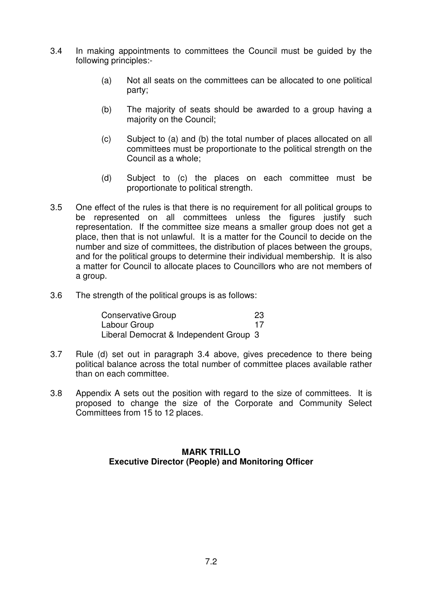- 3.4 In making appointments to committees the Council must be guided by the following principles:-
	- (a) Not all seats on the committees can be allocated to one political party;
	- (b) The majority of seats should be awarded to a group having a majority on the Council;
	- (c) Subject to (a) and (b) the total number of places allocated on all committees must be proportionate to the political strength on the Council as a whole;
	- (d) Subject to (c) the places on each committee must be proportionate to political strength.
- 3.5 One effect of the rules is that there is no requirement for all political groups to be represented on all committees unless the figures justify such representation. If the committee size means a smaller group does not get a place, then that is not unlawful. It is a matter for the Council to decide on the number and size of committees, the distribution of places between the groups, and for the political groups to determine their individual membership. It is also a matter for Council to allocate places to Councillors who are not members of a group.
- 3.6 The strength of the political groups is as follows:

| <b>Conservative Group</b>              | -23 |
|----------------------------------------|-----|
| Labour Group                           | 17  |
| Liberal Democrat & Independent Group 3 |     |

- 3.7 Rule (d) set out in paragraph 3.4 above, gives precedence to there being political balance across the total number of committee places available rather than on each committee.
- 3.8 Appendix A sets out the position with regard to the size of committees. It is proposed to change the size of the Corporate and Community Select Committees from 15 to 12 places.

### **MARK TRILLO Executive Director (People) and Monitoring Officer**